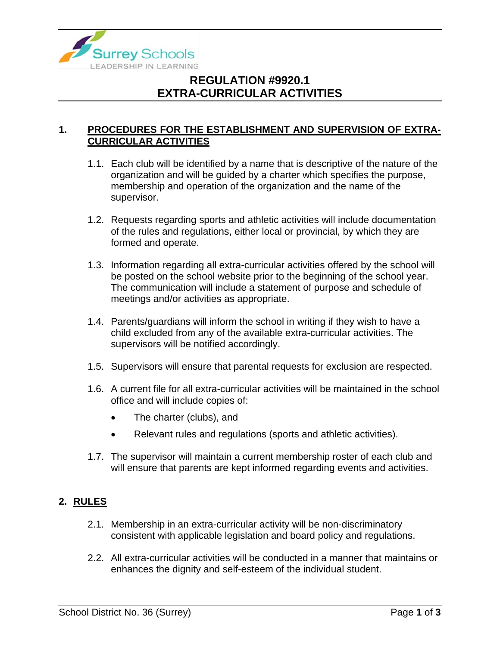

# **REGULATION #9920.1 EXTRA-CURRICULAR ACTIVITIES**

#### **1. PROCEDURES FOR THE ESTABLISHMENT AND SUPERVISION OF EXTRA-CURRICULAR ACTIVITIES**

- 1.1. Each club will be identified by a name that is descriptive of the nature of the organization and will be guided by a charter which specifies the purpose, membership and operation of the organization and the name of the supervisor.
- 1.2. Requests regarding sports and athletic activities will include documentation of the rules and regulations, either local or provincial, by which they are formed and operate.
- 1.3. Information regarding all extra-curricular activities offered by the school will be posted on the school website prior to the beginning of the school year. The communication will include a statement of purpose and schedule of meetings and/or activities as appropriate.
- 1.4. Parents/guardians will inform the school in writing if they wish to have a child excluded from any of the available extra-curricular activities. The supervisors will be notified accordingly.
- 1.5. Supervisors will ensure that parental requests for exclusion are respected.
- 1.6. A current file for all extra-curricular activities will be maintained in the school office and will include copies of:
	- The charter (clubs), and
	- Relevant rules and regulations (sports and athletic activities).
- 1.7. The supervisor will maintain a current membership roster of each club and will ensure that parents are kept informed regarding events and activities.

#### **2. RULES**

- 2.1. Membership in an extra-curricular activity will be non-discriminatory consistent with applicable legislation and board policy and regulations.
- 2.2. All extra-curricular activities will be conducted in a manner that maintains or enhances the dignity and self-esteem of the individual student.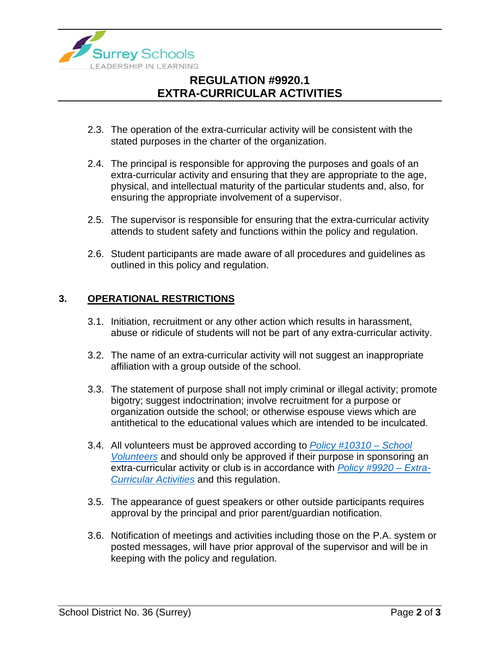

# **REGULATION #9920.1 EXTRA-CURRICULAR ACTIVITIES**

- 2.3. The operation of the extra-curricular activity will be consistent with the stated purposes in the charter of the organization.
- 2.4. The principal is responsible for approving the purposes and goals of an extra-curricular activity and ensuring that they are appropriate to the age, physical, and intellectual maturity of the particular students and, also, for ensuring the appropriate involvement of a supervisor.
- 2.5. The supervisor is responsible for ensuring that the extra-curricular activity attends to student safety and functions within the policy and regulation.
- 2.6. Student participants are made aware of all procedures and guidelines as outlined in this policy and regulation.

#### **3. OPERATIONAL RESTRICTIONS**

- 3.1. Initiation, recruitment or any other action which results in harassment, abuse or ridicule of students will not be part of any extra-curricular activity.
- 3.2. The name of an extra-curricular activity will not suggest an inappropriate affiliation with a group outside of the school.
- 3.3. The statement of purpose shall not imply criminal or illegal activity; promote bigotry; suggest indoctrination; involve recruitment for a purpose or organization outside the school; or otherwise espouse views which are antithetical to the educational values which are intended to be inculcated.
- 3.4. All volunteers must be approved according to *[Policy #10310 –](https://www.surreyschools.ca/departments/SECT/PoliciesRegulations/section_10000/Documents/10310%20Policy.pdf) School [Volunteers](https://www.surreyschools.ca/departments/SECT/PoliciesRegulations/section_10000/Documents/10310%20Policy.pdf)* and should only be approved if their purpose in sponsoring an extra-curricular activity or club is in accordance with *[Policy #9920 –](https://www.surreyschools.ca/departments/SECT/PoliciesRegulations/section_9000/Documents/9920%20Policy.pdf) Extra-[Curricular Activities](https://www.surreyschools.ca/departments/SECT/PoliciesRegulations/section_9000/Documents/9920%20Policy.pdf)* and this regulation.
- 3.5. The appearance of guest speakers or other outside participants requires approval by the principal and prior parent/guardian notification.
- 3.6. Notification of meetings and activities including those on the P.A. system or posted messages, will have prior approval of the supervisor and will be in keeping with the policy and regulation.